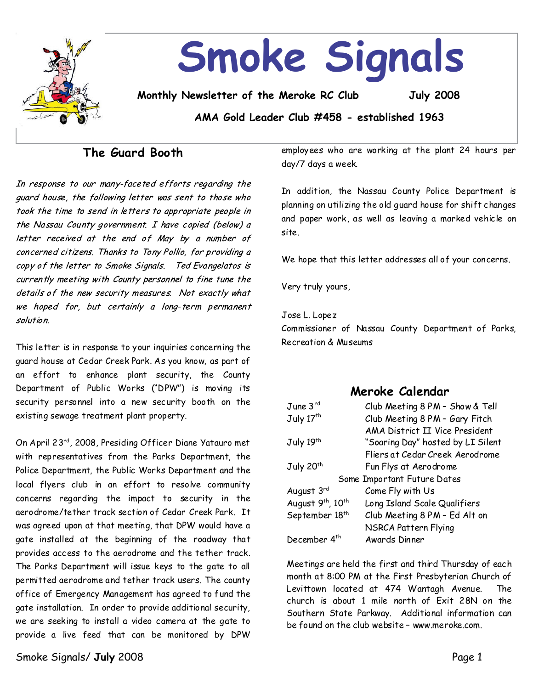

## **The Guard Booth**

In response to our many-faceted efforts regarding the quard house, the following letter was sent to those who took the time to send in letters to appropriate people in the Nassau County government. I have copied (below) a letter received at the end of May by a number of concerned citizens. Thanks to Tony Pollio, for providing a copy of the letter to Smoke Signals. Ted Evangelatos is currently meeting with County personnel to fine tune the details of the new security measures. Not exactly what we hoped for, but certainly a long-term permanent solution

This letter is in response to your inquiries concerning the guard house at Cedar Creek Park. As you know, as part of an effort to enhance plant security, the County Department of Public Works ("DPW") is moving its security personnel into a new security booth on the existing sewage treatment plant property.

On April 23rd, 2008, Presiding Officer Diane Yatauro met with representatives from the Parks Department, the Police Department, the Public Works Department and the local flyers club in an effort to resolve community concerns regarding the impact to security in the aerodrome/tether track section of Cedar Creek Park. It was agreed upon at that meeting, that DPW would have a gate installed at the beginning of the roadway that provides access to the aerodrome and the tether track. The Parks Department will issue keys to the gate to all permitted aerodrome and tether track users. The county office of Emergency Management has agreed to fund the gate installation. In order to provide additional security, we are seeking to install a video camera at the gate to provide a live feed that can be monitored by DPW

employees who are working at the plant 24 hours per day/7 days a week.

In addition, the Nassau County Police Department is planning on utilizing the old quard house for shift changes and paper work, as well as leaving a marked vehicle on site.

We hope that this letter addresses all of your concerns.

Very truly yours,

JoseL.Lopez

Commissioner of Nassau County Department of Parks, Recreation & Museums

## **Meroke Calendar**

| June 3 <sup>rd</sup>        | Club Meeting 8 PM - Show & Tell   |  |  |
|-----------------------------|-----------------------------------|--|--|
| July 17 <sup>th</sup>       | Club Meeting 8 PM - Gary Fitch    |  |  |
|                             | AMA District II Vice President    |  |  |
| July 19th                   | "Soaring Day" hosted by LI Silent |  |  |
|                             | Fliers at Cedar Creek Aerodrome   |  |  |
| July 20 <sup>th</sup>       | Fun Flys at Aerodrome             |  |  |
| Some Important Future Dates |                                   |  |  |
| August 3rd                  | Come Fly with Us                  |  |  |
| August 9th, 10th            | Long Island Scale Qualifiers      |  |  |
| September 18 <sup>th</sup>  | Club Meeting 8 PM - Ed Alt on     |  |  |
|                             | NSRCA Pattern Flying              |  |  |
| December 4 <sup>th</sup>    | Awards Dinner                     |  |  |

Meetings are held the first and third Thursday of each month at 8:00 PM at the First Presbyterian Church of Levittown located at 474 Wantagh Avenue. The church is about 1 mile north of Exit 28N on the Southern State Parkway. Additional information can be found on the club website–www.meroke.com.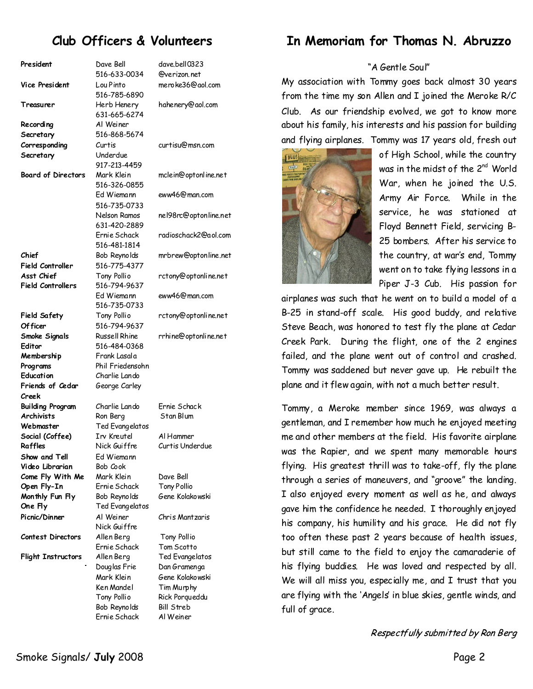# **Club Officers & Volunteers**

| President                 | Dave Bell            | dave.bell0323         |
|---------------------------|----------------------|-----------------------|
|                           | 516-633-0034         | @verizon.net          |
| <b>Vice President</b>     | Lou Pinto            | meroke36@gol.com      |
|                           | 516-785-6890         |                       |
| Treasurer                 | Herb Henery          | hahenery@aol.com      |
|                           | 631-665-6274         |                       |
|                           |                      |                       |
| Recording                 | Al Weiner            |                       |
| Secretary                 | 516-868-5674         |                       |
| Corresponding             | Curtis               | curtisu@msn.com       |
| Secretary                 | Underdue             |                       |
|                           | 917-213-4459         |                       |
| <b>Board of Directors</b> | Mark Klein           | mclein@optonline.net  |
|                           | 516-326-0855         |                       |
|                           | Ed Wiemann           | eww46@man.com         |
|                           | 516-735-0733         |                       |
|                           |                      |                       |
|                           | Nelson Ramos         | nel98rc@optonline.net |
|                           | 631-420-2889         |                       |
|                           | Ernie Schack         | radioschack2@aol.com  |
|                           | 516-481-1814         |                       |
| Chief                     | Bob Reynolds         | mrbrew@optonline.net  |
| <b>Field Controller</b>   | 516-775-4377         |                       |
| Asst Chief                | Tony Pollio          | rctony@optonline.net  |
| <b>Field Controllers</b>  | 516-794-9637         |                       |
|                           | Ed Wiemann           | eww46@man.com         |
|                           | 516-735-0733         |                       |
|                           |                      |                       |
| <b>Field Safety</b>       | Tony Pollio          | rctony@optonline.net  |
| Of ficer                  | 516-794-9637         |                       |
| Smoke Signals             | <b>Russell Rhine</b> | rrhine@optonline.net  |
| Editor                    | 516-484-0368         |                       |
| Membership                | Frank Lasala         |                       |
| Programs                  | Phil Friedensohn     |                       |
| Education                 | Charlie Lando        |                       |
| Friends of Cedar          | George Carley        |                       |
| Creek                     |                      |                       |
| Building Program          | Charlie Lando        | Frnie Schack          |
| <b>Archivists</b>         |                      | Stan Blum             |
|                           | Ron Berg             |                       |
| Webmaster                 | Ted Evangelatos      |                       |
| Social (Coffee)           | Irv Kreutel          | Al Hammer             |
| Raffles                   | Nick Guiffre         | Curtis Underdue       |
| Show and Tell             | Ed Wiemann           |                       |
| Video Librarian           | Bob Cook             |                       |
| Come Fly With Me          | Mark Klein           | Dave Bell             |
| Open Fly-In               | Ernie Schack         | Tony Pollio           |
| Monthly Fun Fly           | Bob Reynolds         | Gene Kolakowski       |
| One Fly                   | Ted Evangelatos      |                       |
| Picnic/Dinner             | Al Weiner            | Chris Mantzaris       |
|                           |                      |                       |
|                           | Nick Guiffre         |                       |
| Contest Directors         | Allen Berg           | Tony Pollio           |
|                           | Ernie Schack         | Tom Scotto            |
| <b>Flight Instructors</b> | Allen Berg           | Ted Evangelatos       |
|                           | Douglas Frie         | Dan Gramenga          |
|                           | Mark Klein           | Gene Kolakowski       |
|                           | Ken Mandel           | Tim Murphy            |
|                           | Tony Pollio          | Rick Porqueddu        |
|                           | Bob Reynolds         | <b>Bill Streb</b>     |
|                           | Ernie Schack         | Al Weiner             |
|                           |                      |                       |

# **In Memoriam for Thomas N. Abruzzo**

#### "A Gentle Soul"

My association with Tommy goes back almost 30 years from the time my son Allen and I joined the Meroke R/C Club. As our friendship evolved, we got to know more about his family, his interests and his passion for building and flying airplanes. Tommy was 17 years old, fresh out



of High School, while the country was in the midst of the 2<sup>nd</sup> World War, when he joined the U.S. Army Air Force. While in the service, he was stationed at Floyd Bennett Field, servicing B- 25 bombers. After his service to the country, at war's end, Tommy went on to take flying lessons in a Piper J-3 Cub. His passion for

airplanes was such that he went on to build a model of a B-25 in stand-off scale. His good buddy, and relative Steve Beach, was honored to test fly the plane at Cedar Creek Park. During the flight, one of the 2 engines failed, and the plane went out of control and crashed. Tommy was saddened but never gave up. He rebuilt the plane and it flew again, with not a much better result.

Tommy, a Meroke member since 1969, was always a gentleman, and I remember how much he enjoyed meeting meand other membersat the field. His favorite airplane was the Rapier, and we spent many memorable hours flying. His greatest thrill was to take-off, fly the plane through a series of maneuvers, and "groove" the landing. I also enjoyed every moment as well as he, and always gave him the confidence he needed. I thoroughly enjoyed his company, his humility and his grace. He did not fly too often these past 2 years because of health issues, but still came to the field to enjoy the camaraderie of his flying buddies. He was loved and respected by all. We will all miss you, especially me, and I trust that you are flying with the 'Angels' in blue skies, gentle winds, and full of grace.

Respectfully submitted by Ron Berg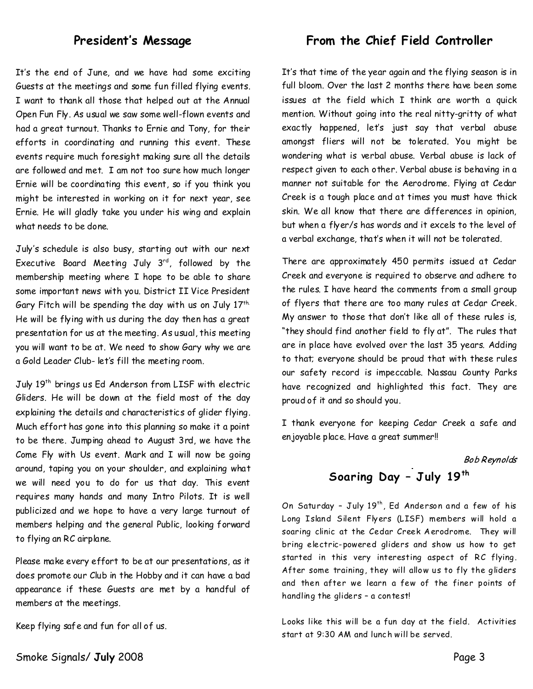### President's Message

It's the end of June, and we have had some exciting Guests at the meetings and some fun filled flying events. I want to thank all those that helped out at the Annual Open Fun Fly. As usual we saw some well-flown events and had a great turnout. Thanks to Ernie and Tony, for their efforts in coordinating and running this event. These events require much foresight making sure all the details are followed and met. I am not too sure how much longer Ernie will be coordinating this event, so if you think you might be interested in working on it for next year, see Ernie. He will gladly take you under his wing and explain what needs to be done.

July's schedule is also busy, starting out with our next Executive Board Meeting July  $3^{rd}$ , followed by the membership meeting where I hope to be able to share some important news with you. District II Vice President Gary Fitch will be spending the day with us on July  $17<sup>th</sup>$ . He will be flying with us during the day then has a great presentation for us at the meeting. As usual, this meeting you will want to be at.We need to show Gary why we are a Gold Leader Club-let's fill the meeting room.

July 19<sup>th</sup> brings us Ed Anderson from LISF with electric Gliders. Hewill be down at the field most of the day explaining the details and characteristics of glider flying. Much effort has gone into this planning so make it a point to be there.Jumping ahead to August 3rd, we have the Come Fly with Us event. Mark and I will now be going around, taping you on your shoulder, and explaining what we will need you to do for us that day. This event requires many hands and many Intro Pilots. It is well publicized and we hope to have a very large turnout of members helping and the general Public, looking forward to flying an RC airplane.

Please make every effort to be at our presentations, as it does promote our Club in the Hobby and it can have a bad appearance if these Guests are met by a handful of members at the meetings.

Keep flying safe and fun for all of us.

**From the Chief Field Controller**

It's that time of the year again and the flying season is in full bloom. Over the last 2 months there have been some issues at the field which I think are worth a quick mention. Without going into the real nitty-gritty of what exactly happened, let's just say that verbal abuse amongst fliers will not be tolerated. You might be wondering what is verbal abuse. Verbal abuse is lack of respect given to each other. Verbal abuse is behaving in a manner not suitable for the Aerodrome.Flying at Cedar Creek is a tough place and at times you must have thick skin.We all know that there are differences in opinion, but whena flyer/s has words and it excels to the level of a verbal exchange, that's when it will not be tolerated.

There are approximately 450 permits issued at Cedar Creek and everyone is required to observe and adhere to the rules.I have heard the comments from a small group of flyers that there are too many rules at Cedar Creek. My answer to those that don't like all of these rules is, "they should find another field to fly at". The rules that are in place have evolved over the last 35 years. Adding to that; everyone should be proud that with these rules our safety record is impeccable. Nassau County Parks have recognized and highlighted this fact. They are proud of it and so should you.

I thank everyone for keeping Cedar Creek a safe and enjoyable place.Have a great summer!!

**Bob Reynolds** 

# **Soaring Day–J uly19th**

On Saturday - July 19<sup>th</sup>, Ed Anderson and a few of his Long Island Silent Flyers (LISF) members will hold a soaring clinic at the Cedar Creek Aerodrome. They will bring electric-powered gliders and show us how to get started in this very interesting aspect of RC flying. After some training, they will allow us to fly the gliders and then after we learn a few of the finer points of handling the gliders–acontest!

Looks like this will be a fun day at the field. Activities start at 9:30 AM and lunch will be served.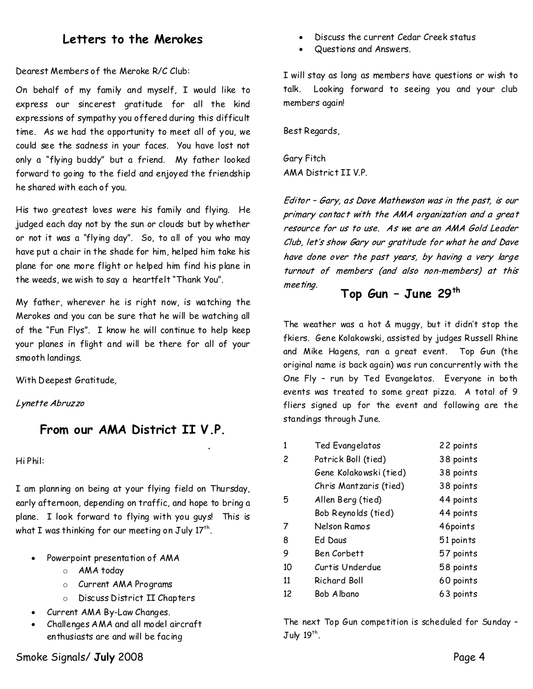## **Letters to the Merokes**

Dearest Members of the Meroke R/C Club:

On behalf of my family and myself, I would like to express our sincerest gratitude for all the kind expressions of sympathy you offered during this difficult time. As we had the opportunity to meet all of you, we could see the sadness in your faces. You have lost not only a "flying buddy" but a friend. My father looked forward to going to the field and enjoyed the friendship he shared with each of you.

His two greatest loves were his family and flying. He judged each day not by the sun or clouds but by whether or not it was a "flying day". So,to all of you who may have put a chair in the shade for him, helped him take his plane for one more flight or helped him find his plane in the weeds, we wish to say a heartfelt "Thank You".

My father, wherever he is right now, is watching the Merokes andyou can be sure that he will be watching all of the"Fun Flys". I know he will continue to help keep your planes in flight and will be there for all of your smooth landings.

With Deepest Gratitude,

Lynette Abruzzo

## **From our AMA District II V.P.**

Hi Phil:

I am planning on being at your flying field on Thursday, early afternoon, depending on traffic, and hope to bring a plane. I look forward to flying with you guys! This is what I was thinking for our meeting on July 17  $^{\rm th}$ .

- Powerpoint presentation of AMA
	- o AMA today
	- o Current AMA Programs
	- o Discuss District II Chapters
- · Current AMA By-Law Changes.
- · Challenges AMA and all model aircraft enthusiasts are and will be facing
- · Discuss the current Cedar Creek status
- Questions and Answers.

I will stay as long as members have questions or wish to talk. Looking forward to seeing you and your club members again!

Best Regards,

Gary Fitch AMA District IIV.P.

Editor - Gary, as Dave Mathewson was in the past, is our primary contact with the AMA organization and a great resource for us to use. As we are an AMA Gold Leader Club, let's show Gary our gratitude for what he and Dave have done over the past years, by having a very large turnout of members (and also non-members) at this mee ting.

## **Top Gun–June 29th**

The weather was a hot  $&$  muggy, but it didn't stop the fkiers. Gene Kolakowski, assisted by judges Russell Rhine and Mike Hagens, ran a great event. Top Gun (the original name is back again) was run concurrently with the One Fly - run by Ted Evangelatos. Everyone in both events was treated to some great pizza. A total of 9 fliers signed up for the event and following are the standings through June.

| 1  | Ted Evangelatos        | 22 points |
|----|------------------------|-----------|
| 2  | Patrick Boll (tied)    | 38 points |
|    | Gene Kolakowski (tied) | 38 points |
|    | Chris Mantzaris (tied) | 38 points |
| 5  | Allen Berg (tied)      | 44 points |
|    | Bob Reynolds (tied)    | 44 points |
| 7  | Nelson Ramos           | 46points  |
| 8  | Ed Daus                | 51 points |
| 9  | Ben Corbett            | 57 points |
| 10 | Curtis Underdue        | 58 points |
| 11 | Richard Boll           | 60 points |
| 12 | Bob Albano             | 63 points |

The next Top Gun competition is scheduled for Sunday–  $\rm J$ uly 19 $^{\rm th}$ .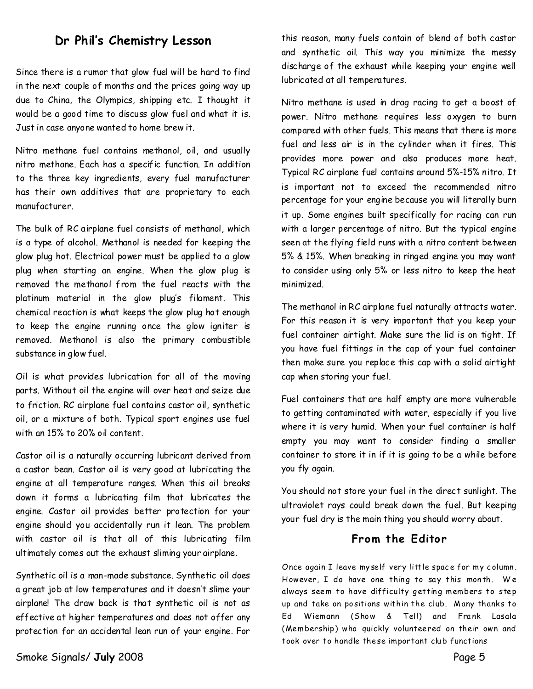## **Dr Phil's Chemistry Lesson**

Since there is a rumor that glow fuel will be hard to find in the next couple of months and the prices going way up due to China, the Olympics, shipping etc. I thought it would be a good time to discuss glow fuel and what it is. Just in case anyone wanted to home brew it.

Nitro methane fuel contains methanol, oil, and usually nitro methane.Each has a specific function. In addition to the three key ingredients, every fuel manufacturer has their own additives that are proprietary to each manufacturer.

The bulk of RC airplane fuel consists of methanol, which is a type of alcohol. Methanol is needed for keeping the glow plughot. Electrical power must be applied to a glow plug when starting an engine. When the glow plug is removed the methanol from the fuel reacts with the platinum material in the glow plug's filament. This chemical reaction is what keeps the glow plug hot enough to keep the engine running once the glow igniter is removed. Methanol is also the primary combustible substance in glow fuel.

Oil is what provides lubrication for all of the moving parts. Without oil the engine will over heat and seize due to friction. RC airplane fuel contains castor oil, synthetic oil, or a mixture of both. Typical sport engines use fuel with an15% to 20% oil content.

Castor oil is a naturally occurring lubricant derived from a castor bean. Castor oil is very good at lubricating the engine at all temperature ranges. When this oil breaks down it forms a lubricating film that lubricates the engine. Castor oil provides better protection for your engine should you accidentally run it lean. The problem with castor oil is that all of this lubricating film ultimately comes out the exhaust sliming your airplane.

Synthetic oil is a man-made substance. Synthetic oil does a great job at low temperatures and it doesn't slime your airplane! The draw back is that synthetic oil is not as effective at higher temperatures and does not offer any protection for an accidental lean run of your engine. For

Smoke Signals/ **July** 2008 **Page 5** 

this reason, many fuels contain of blend of both castor and synthetic oil. This way you minimize the messy discharge of the exhaust while keeping your engine well lubricated at all temperatures.

Nitro methane is used in drag racing to get a boost of power. Nitro methane requires less oxygen to burn compared with other fuels. This means that there is more fuel and less air is in the cylinder when it fires. This provides more power and also produces more heat. Typical RC airplane fuel contains around 5%-15% nitro. It is important not to exceed the recommended nitro percentage for your engine because you will literally burn it up. Some engines built specifically for racing can run with a larger percentage of nitro. But the typical engine seen at the flying field runs with a nitro content between 5%&15%. When breaking in ringed engine you may want to consider using only 5% or less nitro to keep the heat minimized.

The methanol in RC airplane fuel naturally attracts water. For this reason it is very important that you keep your fuel container airtight. Make sure the lid is on tight. If you have fuel fittings in the cap of your fuel container then make sure you replace this cap with a solid airtight cap when storing your fuel.

Fuel containers that are half empty are more vulnerable to getting contaminated with water, especially if you live where it is very humid. When your fuel container is half empty you may want to consider finding a smaller container to store it in if it is going to be a while before you fly again.

You should not store your fuel in the direct sunlight. The ultraviolet rays could break down the fuel. But keeping your fuel dry is the main thing you should worry about.

#### From the Editor

Once again I leave my self very little space for my column. However, I do have one thing to say this month. We always seem to have difficulty getting members to step up and take on positions within the club. Many thanks to Ed Wiemann (Show & Tell) and Frank Lasala (Membership) who quickly volunteered on their own and took over to handle these important club functions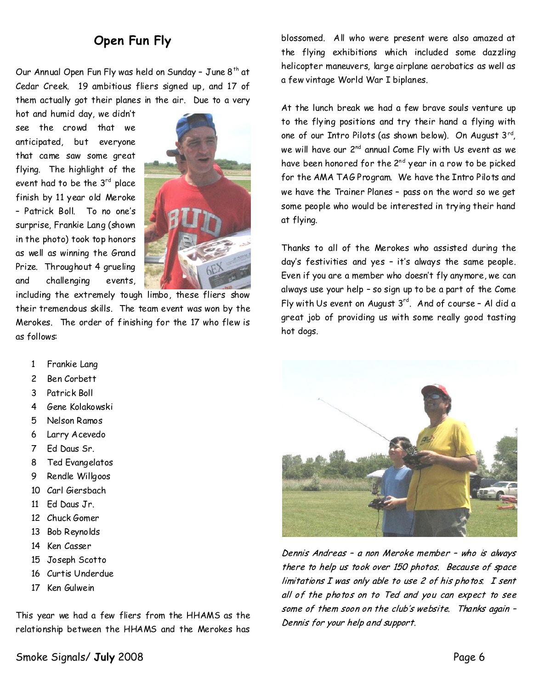# **Open Fun Fly**

Our Annual Open Fun Fly was held on Sunday - June  $8<sup>th</sup>$  at Cedar Creek. 19 ambitious fliers signed up, and 17 of them actually got their planes in the air. Due to a very

hot and humid day, we didn't see the crowd that we anticipated, but everyone that came saw some great flying. The highlight of the event had to be the  $3^{rd}$  place finish by 11 year old Meroke - Patrick Boll. To no one's surprise, Frankie Lang(shown in the photo) took top honors as well as winning the Grand Prize. Throughout 4 grueling and challenging events,



including the extremely tough limbo, these fliers show their tremendous skills. The team event was won by the Merokes. The order of finishing for the 17 who flew is as follows:

- 1 Frankie Lang
- 2 Ben Corbett
- 3 Patrick Boll
- 4 Gene Kolakowski
- 5 Nelson Ramos
- 6 Larry Acevedo
- 7 Ed Daus Sr.
- 8 Ted Evangelatos
- 9 Rendle Willgoos
- 10 Carl Giersbach
- 11 Ed Daus Jr.
- 12 Chuck Gomer
- 13 Bob Reynolds
- 14 Ken Casser
- 15 Joseph Scotto
- 16 Curtis Underdue
- 17 Ken Gulwein

This year we had a few fliers from the HHAMS as the relationship between the HHAMS and the Merokes has

Smoke Signals/**July** 2008 Page 6

blossomed. All who were present were also amazed at the flying exhibitions which included some dazzling helicopter maneuvers, large airplane aerobatics as well as a few vintage World War I biplanes.

At the lunch break we had a few brave souls venture up to the flying positions and try their hand a flying with one of our Intro Pilots(as shown below). On August 3rd , we will have our 2<sup>nd</sup> annual Come Fly with Us event as we have been honored for the 2<sup>nd</sup> year in a row to be picked for the AMA TAG Program. We have the Intro Pilots and we have the Trainer Planes - pass on the word so we get some people who would be interested in trying their hand at flying.

Thanks to all of the Merokes who assisted during the day's festivities and yes–it's always the same people. Even if you are a member who doesn't fly anymore, we can always use your help–sosign up to be a part of the Come Fly with Us event on August  $3^{rd}$ . And of course - Al did a great job of providing us with some really good tasting hot dogs.



Dennis Andreas - a non Meroke member - who is always there to help us took over 150 photos. Because of space limitations I was only able to use 2 of his photos. I sent all of the photos on to Ted and you can expect to see some of them soon on the club's website. Thanks again -Dennis for your help and support.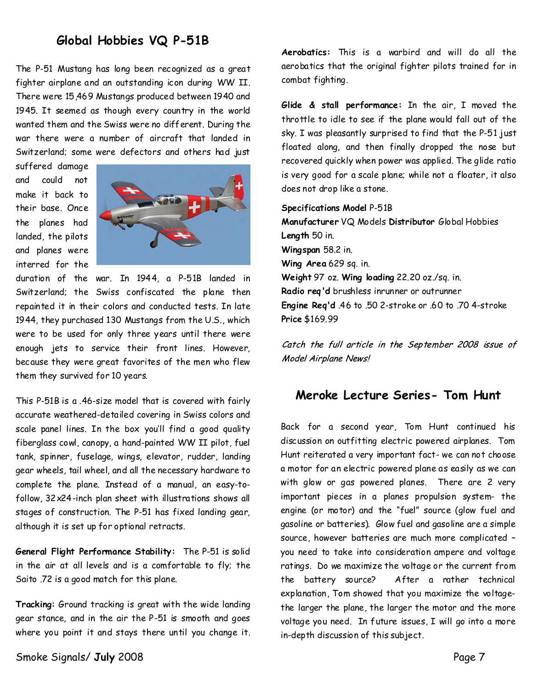## **Global Hobbies VQ P-51B**

The P-51 Mustang has long been recognized as a great fighter airplane and an outstanding icon during WW II. There were 15,469 Mustangs produced between 1940 and 1945. It seemed as though every country in the world wanted them and the Swiss were no different. During the war there were a number of aircraft that landed in Switzerland; some were defectors and others had just

suffered damage and could not make it back to their base. Once the planes had landed, the pilots and planes were interred for the



duration of the war. In 1944, a P-51B landed in Switzerland; the Swiss confiscated the plane then repainted it in their colors and conducted tests. In late 1944, they purchased 130 Mustangs from the U.S., which were to be used for only three years until there were enough jets to service their front lines. However, because they were great favorites of the men who flew them they survived for 10 years.

This P-51B is a .46-size model that is covered with fairly accurate weathered-detailed covering in Swiss colors and scale panel lines. In the box you'll find a good quality fiberglass cowl, canopy, a hand-painted WW II pilot, fuel tank, spinner, fuselage, wings, elevator, rudder, landing gear wheels, tail wheel, and all the necessary hardware to complete the plane. Instead of a manual, an easy-to follow, 32x24-inch plan sheet with illustrations shows all stages of construction. The P-51 has fixed landing gear, although it is set up for optional retracts.

**General Flight Performance Stability:** The P-51 is solid in the air at all levels and is a comfortable to fly; the Saito .72 is a good match for this plane.

**Tracking:**Ground tracking is great with the wide landing gear stance, and in the air the P-51 is smooth and goes where you point it and stays there until you change it.

Smoke Signals/ **July** 2008 **Page 7** 

**Aerobatics:** This is a warbird and will do all the aerobatics that the original fighter pilots trained for in combat fighting.

**Glide & stall performance:** In the air, I moved the throttle to idle to see if the plane would fall out of the sky. I was pleasantly surprised to find that the P-51 just floated along, and then finally dropped the nose but recovered quickly when power was applied. The glide ratio is verygood for a scale plane; while not a floater, it also does not drop like a stone.

**Specifications Model** P-51B **Manufacturer**VQ Models**Distributor**Global Hobbies Length 50 in. **Wingspan**58.2 in. **Wing Area**629 sq. in. Weight 97 oz. Wing loading 22.20 oz./sq. in. **Radio req'd**brushless inrunner or outrunner **Engine Req'd**.46 to .50 2-stroke or .60 to .70 4-stroke **Price**\$169.99

Catch the full article in the September 2008 issue of Model Airplane News!

### **Meroke Lecture Series-Tom Hunt**

Back for a second year, Tom Hunt continued his discussion on outfitting electric powered airplanes. Tom Hunt reiterated a very important fact-we can not choose a motor for an electric powered plane as easily as we can with glow or gas powered planes. There are 2 very important pieces in a planes propulsion system- the engine (or motor) and the "fuel" source (glow fuel and gasoline or batteries). Glow fuel and gasoline are a simple source, however batteries are much more complicated– you need to take into consideration ampere and voltage ratings. Do we maximize the voltage or the current from the battery source? After a rather technical explanation, Tom showed that you maximize the voltagethe larger the plane, the larger the motor and the more voltage youneed. In future issues, I will go into a more in-depth discussion of this subject.